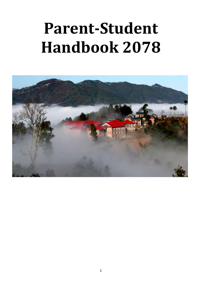# **Parent-Student Handbook 2078**

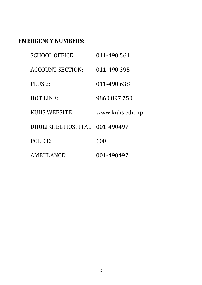# **EMERGENCY NUMBERS:**

| <b>SCHOOL OFFICE:</b>          | 011-490 561     |
|--------------------------------|-----------------|
| <b>ACCOUNT SECTION:</b>        | 011-490 395     |
| PLUS <sub>2</sub> :            | 011-490 638     |
| <b>HOT LINE:</b>               | 9860 897 750    |
| <b>KUHS WEBSITE:</b>           | www.kuhs.edu.np |
| DHULIKHEL HOSPITAL: 001-490497 |                 |
| POLICE:                        | 100             |
| <b>AMBULANCE:</b>              | 001-490497      |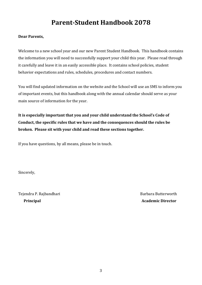# **Parent-Student Handbook 2078**

#### **Dear Parents,**

Welcome to a new school year and our new Parent Student Handbook. This handbook contains the information you will need to successfully support your child this year. Please read through it carefully and leave it in an easily accessible place. It contains school policies, student behavior expectations and rules, schedules, procedures and contact numbers.

You will find updated information on the website and the School will use an SMS to inform you of important events, but this handbook along with the annual calendar should serve as your main source of information for the year.

**It is especially important that you and your child understand the School's Code of Conduct, the specific rules that we have and the consequences should the rules be broken. Please sit with your child and read these sections together.**

If you have questions, by all means, please be in touch.

Sincerely,

Tejendra P. Rajbandhari **Barbara Butterworth Principal Academic Director**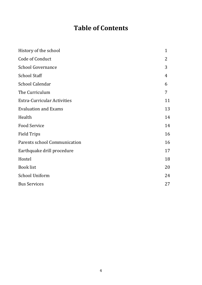# **Table of Contents**

| History of the school              | $\mathbf{1}$ |
|------------------------------------|--------------|
| Code of Conduct                    | 2            |
| <b>School Governance</b>           | 3            |
| <b>School Staff</b>                | 4            |
| <b>School Calendar</b>             | 6            |
| The Curriculum                     | 7            |
| <b>Extra-Curricular Activities</b> | 11           |
| <b>Evaluation and Exams</b>        | 13           |
| Health                             | 14           |
| <b>Food Service</b>                | 14           |
| <b>Field Trips</b>                 | 16           |
| Parents school Communication       | 16           |
| Earthquake drill procedure         | 17           |
| Hostel                             | 18           |
| <b>Book list</b>                   | 20           |
| <b>School Uniform</b>              | 24           |
| <b>Bus Services</b>                | 27           |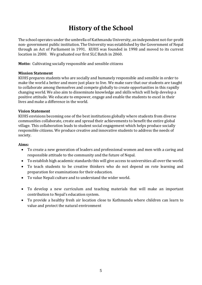# **History of the School**

The school operates under the umbrella of Kathmandu University, an independent not-for-profit non- government public institution. The University was established by the Government of Nepal through an Act of Parliament in 1991. KUHS was founded in 1998 and moved to its current location in 2000. We graduated our first SLC Batch in 2060.

**Motto:** Cultivating socially responsible and sensible citizens

#### **Mission Statement**

KUHS prepares students who are socially and humanely responsible and sensible in order to make the world a better and more just place to live. We make sure that our students are taught to collaborate among themselves and compete globally to create opportunities in this rapidly changing world. We also aim to disseminate knowledge and skills which will help develop a positive attitude. We educate to empower, engage and enable the students to excel in their lives and make a difference in the world.

#### **Vision Statement**

KUHS envisions becoming one of the best institutions globally where students from diverse communities collaborate, create and spread their achievements to benefit the entire global village. This collaboration leads to student social engagement which helps produce socially responsible citizens. We produce creative and innovative students to address the needs of society.

#### **Aims:**

- To create a new generation of leaders and professional women and men with a caring and responsible attitude to the community and the future of Nepal.
- To establish high academic standards this will give access to universities all over the world.
- To teach students to be creative thinkers who do not depend on rote learning and preparation for examinations for their education.
- To value Nepali culture and to understand the wider world.
- To develop a new curriculum and teaching materials that will make an important contribution to Nepal's education system.
- To provide a healthy fresh air location close to Kathmandu where children can learn to value and protect the natural environment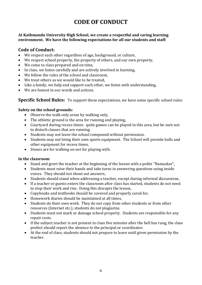# **CODE OF CONDUCT**

#### **At Kathmandu University High School, we create a respectful and caring learning environment. We have the following expectations for all our students and staff:**

### **Code of Conduct:**

- We respect each other regardless of age, background, or culture,
- We respect school property, the property of others, and our own property,
- We come to class prepared and on time,
- In class, we listen carefully and are actively involved in learning,
- We follow the rules of the school and classroom,
- We treat others as we would like to be treated,
- Like a family, we help and support each other, we listen with understanding,
- We are honest in our words and actions.

### **Specific School Rules:** To support these expectations, we have some specific school rules:

### **Safety on the school grounds:**

- Observe the walk only areas by walking only,
- The athletic ground is the area for running and playing,
- Courtyard during recess times: quite games can be played in this area, but be sure not to disturb classes that are running.
- Students may not leave the school compound without permission.
- Students may not bring their own sports equipment. The School will provide balls and other equipment for recess times,
- Stones are for walking on not for playing with.

#### **In the classroom**:

- Stand and greet the teacher at the beginning of the lesson with a polite "Namaskar",
- Students must raise their hands and take turns in answering questions using inside voices. They should not shout out answers,
- Students should stand when addressing a teacher, except during informal discussions,
- If a teacher or guests enters the classroom after class has started, students do not need to stop their work and rise. Doing this disrupts the lesson,
- Copybooks and textbooks should be covered and properly cared for,
- Homework diaries should be maintained at all times,
- Students do their own work. They do not copy from other students or from other resources (Internet etc.), students do not plagiarize.
- Students must not mark or damage school property. Students are responsible for any repair costs.
- If the subject teacher is not present in class five minutes after the bell has rung, the class prefect should report the absence to the principal or coordinator.
- At the end of class, students should not prepare to leave until given permission by the teacher.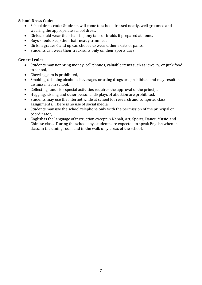#### **School Dress Code:**

- School dress code: Students will come to school dressed neatly, well groomed and wearing the appropriate school dress,
- Girls should wear their hair in pony tails or braids if prepared at home.
- Boys should keep their hair neatly trimmed,
- Girls in grades 6 and up can choose to wear either skirts or pants,
- Students can wear their track suits only on their sports days.

#### **General rules:**

- Students may not bring money, cell phones, valuable items such as jewelry, or junk food to school,
- Chewing gum is prohibited.
- Smoking, drinking alcoholic beverages or using drugs are prohibited and may result in dismissal from school,
- Collecting funds for special activities requires the approval of the principal,
- Hugging, kissing and other personal displays of affection are prohibited,
- Students may use the internet while at school for research and computer class assignments. There is no use of social media,
- Students may use the school telephone only with the permission of the principal or coordinator,
- English is the language of instruction except in Nepali, Art, Sports, Dance, Music, and Chinese class. During the school day, students are expected to speak English when in class, in the dining room and in the walk only areas of the school.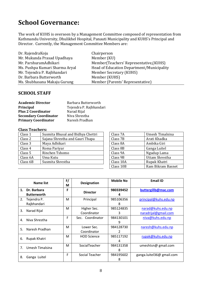# **School Governance:**

The work of KUHS is overseen by a Management Committee composed of representation from Kathmandu University, Dhulikhel Hospital, Panauti Municipality and KUHS's Principal and Director. Currently, the Management Committee Members are:

| Dr. RajendraKoju               | Chairperson                               |
|--------------------------------|-------------------------------------------|
| Mr. Mukunda Prasad Upadhaya    | Member (KU)                               |
| Mr. ParshuramAdhikari          | Member(Teachers' Representative, (KUHS)   |
| Ms. Pushpa Kumari Sharma Aryal | Head of Education Department/Municipality |
| Mr. Tejendra P. Rajbhandari    | Member Secretary (KUHS)                   |
| Dr. Barbara Butterworth        | Member (KUHS)                             |
| Ms. Shubhasana Makaju Gurung   | Member (Parents' Representative)          |

### **SCHOOL STAFF**

| <b>Academic Director</b>     | Barbara Butterworth     |
|------------------------------|-------------------------|
| <b>Principal</b>             | Tejendra P. Rajbhandari |
| <b>Plus 2 Coordinator</b>    | Narad Rijal             |
| <b>Secondary Coordinator</b> | Niva Shrestha           |
| <b>Primary Coordinator</b>   | Naresh Pradhan          |

#### **Class Teachers:**

| Class 1  | Susmita Bhusal and Bidhya Chettri | Class 7A  | Umesh Timalsina |
|----------|-----------------------------------|-----------|-----------------|
| Class 2  | Sajana Shrestha and Gauri Thapa   | Class 7B  | Arati Khadka    |
| Class 3  | Maya Adhikari                     | Class 8A  | Ambika Giri     |
| Class 4  | Roma Pariyar                      | Class 8B  | Ganga Luitel    |
| Class 5  | Rinchen Tshomo                    | Class 9A  | Ngudup Lama     |
| Class 6A | Uma Kutu                          | Class 9B  | Uttam Shrestha  |
| Class 6B | Susmita Shrestha                  | Class 10A | Rupak Khatri    |
|          |                                   |           |                 |

| Class 7A  | Umesh Timalsina   |
|-----------|-------------------|
| Class 7B  | Arati Khadka      |
| Class 8A  | Ambika Giri       |
| Class 8B  | Ganga Luitel      |
| Class 9A  | Ngudup Lama       |
| Class 9B  | Uttam Shrestha    |
| Class 10A | Rupak Khatri      |
| Class 10B | Ram Bikram Basnet |
|           |                   |

|    | Name list                         | F/<br>М | <b>Designation</b>         | <b>Mobile No</b> | <b>Email ID</b>                           |
|----|-----------------------------------|---------|----------------------------|------------------|-------------------------------------------|
| 1. | Dr. Barbara<br><b>Butterworth</b> | F       | <b>Director</b>            | 980339452<br>4   | buttergillb@mac.com                       |
| 2. | Tejendra P.<br>Rajbhandari        | М       | Principal                  | 985106356<br>8   | principal@kuhs.edu.np                     |
| 3. | Narad Rijal                       | M       | Higher Sec.<br>Coordinator | 985124835<br>3   | narad@kuhs.edu.np<br>naradrijal@gmail.com |
| 4. | Niva Shrestha                     | F       | Sec. Coordinator           | 984130101<br>9   | niva@kuhs.edu.np                          |
| 5. | Naresh Pradhan                    | M       | Lower Sec.<br>Coordinator  | 984128730<br>2   | naresh@kuhs.edu.np                        |
| 6. | Rupak Khatri                      | M       | <b>HOD Science</b>         | 985117192<br>4   | rupak@kuhs.edu.np                         |
| 7. | Umesh Timalsina                   | м       | SocialTeacher              | 984131358<br>8   | umeshtsn@ gmail.com                       |
| 8. | Ganga Luitel                      | F       | Social Teacher             | 984195602<br>8   | ganga.luitel36@ gmail.com                 |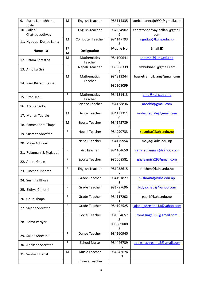| Purna Lamichhane<br>9.        | M           | <b>English Teacher</b>        | 986114335<br>9                                            | lamichhaneraju999@ gmail.com         |
|-------------------------------|-------------|-------------------------------|-----------------------------------------------------------|--------------------------------------|
| Joshi                         |             |                               |                                                           |                                      |
| 10. Pallabi<br>Chattaopodhyay | F           | <b>English Teacher</b>        | 982934902<br>9                                            | chhattopadhyay.pallabi@gmail.<br>com |
| 11. Ngudup Dorjee Lama        | M           | <b>Computer Teacher</b>       | 984147793                                                 | ngudup@kuhs.edu.np                   |
| <b>Name list</b>              | F/<br>M     | <b>Designation</b>            | <b>Mobile No</b>                                          | <b>Email ID</b>                      |
| 12. Uttam Shrestha            | M           | Mathematics<br>Teacher        | 984100641<br>9                                            | uttamn@kuhs.edu.np                   |
| 13. Ambika Giri               | F           | Nepali Teacher                | 986386339<br>4                                            | ambubihani@gmail.com                 |
| 14. Ram Bikram Basnet         | M           | Mathematics<br>Teacher        | 984313244<br>$\mathcal{P}$<br>980308099<br>$\overline{2}$ | basnetrambikram@gmail.com            |
| 15. Uma Kutu                  | F           | <b>Mathematics</b><br>Teacher | 984151413<br>3                                            | uma@kuhs.edu.np                      |
| 16. Arati Khadka              | $\mathsf F$ | <b>Science Teacher</b>        | 984138836<br>1                                            | arookb@gmail.com                     |
| 17. Mohan Taujale             | M           | Dance Teacher                 | 984132311<br>0                                            | mohantaujale@gmail.com               |
| 18. Ramchandra Thapa          | M           | <b>Sports Teacher</b>         | 984145789<br>6                                            |                                      |
| 19. Susmita Shrestha          | F           | Nepali Teacher                | 984990733<br>0                                            | susmita@kuhs.edu.np                  |
| 20. Maya Adhikari             | F           | Nepali Teacher                | 984179954                                                 | maya@kuhs.edu.np                     |
| 21. Rukumani S. Prajapati     | F           | Art Teacher                   | 984164650<br>3                                            | sana rukumani@yahoo.com              |
| 22. Amira Ghale               | F           | <b>Sports Teacher</b>         | 986068581                                                 | ghaleamira29@gmail.com               |
| 23. Rinchen Tshomo            | F           | English Teacher               | 981038615<br>7                                            | rinchen@kuhs.edu.np                  |
| 24. Susmita Bhusal            | F           | <b>Grade Teacher</b>          | 984191827<br>8                                            | sushmita@kuhs.edu.np                 |
| 25. Bidhya Chhetri            | $\mathsf F$ | Grade Teacher                 | 981797696<br>4                                            | bidya.chetri@yahoo.com               |
| 26. Gauri Thapa               | F           | <b>Grade Teacher</b>          | 984117202<br>1                                            | gauri@kuhs.edu.np                    |
| 27. Sajana Shrestha           | F           | <b>Grade Teacher</b>          | 984192525<br>5                                            | sajana shrestha43@yahoo.com          |
| 28. Roma Pariyar              | F           | Social Teacher                | 981354657<br>2<br>986009880                               | romasingh096@gmail.com               |
| 29. Sajina Shrestha           | F           | Dance Teacher                 | 984160940<br>$\overline{2}$                               |                                      |
| 30. Apeksha Shrestha          | F           | <b>School Nurse</b>           | 984446739<br>2                                            | apekshashrestha8@gmail.com           |
| 31. Santosh Dahal             | M           | Music Teacher                 | 984342676<br>7                                            |                                      |
|                               |             | <b>Chinese Teacher</b>        |                                                           |                                      |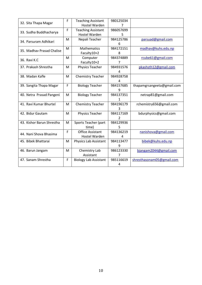| 32. Sita Thapa Magar      | F | <b>Teaching Assistant</b>    | 980125034      |                            |
|---------------------------|---|------------------------------|----------------|----------------------------|
|                           |   | <b>Hostel Warden</b>         | 7              |                            |
|                           | F | <b>Teaching Assistant</b>    | 986057699      |                            |
| 33. Sudha Buddhacharya    |   | <b>Hostel Warden</b>         | 5              |                            |
| 34. Parsuram Adhikari     | M | Nepali Teacher               | 984125786      | parsuad@gmail.com          |
|                           |   |                              | 6              |                            |
| 35. Madhav Prasad Chalise | M | <b>Mathematics</b>           | 984172151      | madhav@kuhs.edu.np         |
|                           |   | Faculty10+2                  | 8              |                            |
| 36. Ravi K.C              | M | Computer                     | 984374889      | rcube61@gmail.com          |
|                           |   | Faculty10+2                  | $\overline{7}$ |                            |
| 37. Prakash Shrestha      | M | Physics Teacher              | 984931576      | pkashsth12@gmail.com       |
|                           |   |                              |                |                            |
| 38. Madan Kafle           | M | <b>Chemistry Teacher</b>     | 984928758      |                            |
|                           |   |                              | Δ              |                            |
| 39. Sangita Thapa Magar   | F | <b>Biology Teacher</b>       | 984157685      | thapamgrsangeeta@gmail.com |
|                           |   |                              | 9              |                            |
| 40. Netra Prasad Pangeni  | M | <b>Biology Teacher</b>       | 984137351      | netrap81@gmail.com         |
|                           |   |                              |                |                            |
| 41. Ravi Kumar Bhurtel    | M | <b>Chemistry Teacher</b>     | 984196179      | rchemistry656@gmail.com    |
|                           |   |                              |                |                            |
| 42. Bidur Gautam          | M | <b>Physics Teacher</b>       | 984117169      | bdurphysics@gmail.com      |
|                           |   |                              | $\mathcal{P}$  |                            |
| 43. Kishor Barun Shrestha | M | Sports Teacher (part         | 984129936      |                            |
|                           |   | time)                        | 5              |                            |
| 44. Nani Shova Bhasima    | F | <b>Office Assistant</b>      | 984136219      | nanishova@gmail.com        |
|                           |   | Hostel Warden                | Δ              |                            |
| 45. Bibek Bhattarai       | M | Physics Lab Assistant        | 984113477      | bibek@kuhs.edu.np          |
|                           |   |                              | 9              |                            |
| 46. Barun Jangam          | M | Chemistry Lab                | 986123330      | bjangam2044@gmail.com      |
|                           |   | Assistant                    |                |                            |
| 47. Sanam Shrestha        | F | <b>Biology Lab Assistant</b> | 985116619      | shresthasonam05@gmail.com  |
|                           |   |                              | 4              |                            |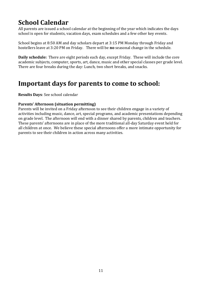# **School Calendar**

All parents are issued a school calendar at the beginning of the year which indicates the days school is open for students, vacation days, exam schedules and a few other key events.

School begins at 8:50 AM and day scholars depart at 3:15 PM Monday through Friday and hostellers leave at 3:20 PM on Friday. There will be **no** seasonal change in the schedule.

**Daily schedule:** There are eight periods each day, except Friday. These will include the core academic subjects, computer, sports, art, dance, music and other special classes per grade level. There are four breaks during the day: Lunch, two short breaks, and snacks.

# **Important days for parents to come to school:**

**Results Days**: See school calendar

### **Parents' Afternoon (situation permitting)**

Parents will be invited on a Friday afternoon to see their children engage in a variety of activities including music, dance, art, special programs, and academic presentations depending on grade level. The afternoon will end with a dinner shared by parents, children and teachers. These parents' afternoons are in place of the more traditional all-day Saturday event held for all children at once. We believe these special afternoons offer a more intimate opportunity for parents to see their children in action across many activities.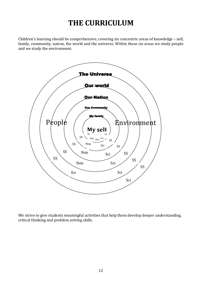# **THE CURRICULUM**

Children's learning should be comprehensive, covering six concentric areas of knowledge – self, family, community, nation, the world and the universe. Within these six areas we study people and we study the environment.



We strive to give students meaningful activities that help them develop deeper understanding, critical thinking and problem solving skills.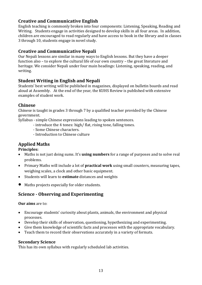### **Creative and Communicative English**

English teaching is commonly broken into four components: Listening, Speaking, Reading and Writing. Students engage in activities designed to develop skills in all four areas. In addition, children are encouraged to read regularly and have access to book in the library and in classes 3 through 10, students engage in novel study.

### **Creative and Communicative Nepali**

Our Nepali lessons are similar in many ways to English lessons. But they have a deeper function also – to explore the cultural life of our own country – the great literature and heritage. We consider Nepali under four main headings: Listening, speaking, reading, and writing.

### **Student Writing in English and Nepali**

Students' best writing will be published in magazines, displayed on bulletin boards and read aloud at Assembly. At the end of the year, the KUHS Review is published with extensive examples of student work.

### **Chinese**

Chinese is taught in grades 3 through 7 by a qualified teacher provided by the Chinese government.

Syllabus - simple Chinese expressions leading to spoken sentences.

- introduce the 4 tones: high/ flat, rising tone, falling tones.
- Some Chinese characters.
- Introduction to Chinese culture

### **Applied Maths**

**Principles:**

- Maths is not just doing sums. It's **using numbers** for a range of purposes and to solve real problems.
- Primary Maths will include a lot of **practical work** using small counters, measuring tapes, weighing scales, a clock and other basic equipment.
- Students will learn to **estimate** distances and weights
- Maths projects especially for older students.

### **Science - Observing and Experimenting**

#### **Our aims** are to:

- Encourage students' curiosity about plants, animals, the environment and physical processes.
- Develop their skills of observation, questioning, hypothesizing and experimenting.
- Give them knowledge of scientific facts and processes with the appropriate vocabulary.
- Teach them to record their observations accurately in a variety of formats.

### **Secondary Science**

This has its own syllabus with regularly scheduled lab activities.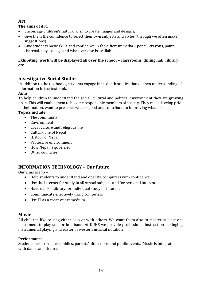### **Art**

### **The aims of Art:**

- Encourage children's natural wish to create images and designs,
- Give them the confidence to select their own subjects and styles (through we often make suggestions).
- Give students basic skills and confidence in the different media pencil, crayons, paint, charcoal, clay, collage and whatever else is available.

#### **Exhibiting: work will be displayed all over the school – classrooms, dining hall, library etc.**

### **Investigative Social Studies**

In addition to the textbooks, students engage in in-depth studies that deepen understanding of information in the textbook.

### **Aims**

To help children to understand the social, cultural and political environment they are growing up in. This will enable them to become responsible members of society. They must develop pride in their nation, want to preserve what is good and contribute to improving what is bad.

### **Topics include:**

- The community
- Environment
- Local culture and religious life
- Cultural life of Nepal
- History of Nepal
- Protective environment
- How Nepal is governed
- Other countries

### **INFORMATION TECHNOLOGY – Our future**

Our aims are to –

- Help students to understand and operate computers with confidence.
- Use the internet for study in all school subjects and for personal interest.
- Have our E Library for individual study or interest.
- Communicate effectively using computers
- Use IT as a creative art medium.

### **Music**

All children like to sing either solo or with others. We want them also to master at least one instrument to play solo or in a band. At KUHS we provide professional instruction in singing, instrumental playing and eastern /western musical notation.

#### **Performance**

Students perform at assemblies, parents' afternoons and public events. Music is integrated with dance and drama.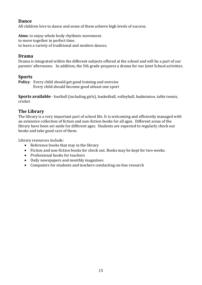### **Dance**

All children love to dance and some of them achieve high levels of success.

**Aims**: to enjoy whole body rhythmic movement. to move together in perfect time.

to learn a variety of traditional and modern dances.

### **Drama**

Drama is integrated within the different subjects offered at the school and will be a part of our parents' afternoons. In addition, the 5th grade prepares a drama for our Joint School activities.

### **Sports**

**Policy**: Every child should get good training and exercise Every child should become good atleast one sport

**Sports available** - football (including girls), basketball, volleyball, badminton, table tennis, cricket

### **The Library**

The library is a very important part of school life. It is welcoming and efficiently managed with an extensive collection of fiction and non-fiction books for all ages. Different areas of the library have been set aside for different ages. Students are expected to regularly check out books and take good care of them.

Library resources include:

- Reference books that stay in the library
- Fiction and non-fiction books for check out. Books may be kept for two weeks.
- Professional books for teachers
- Daily newspapers and monthly magazines
- Computers for students and teachers conducting on-line research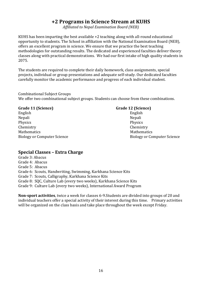### **+2 Programs in Science Stream at KUHS**

*Affiliated to Nepal Examination Board (NEB)*

KUHS has been imparting the best available +2 teaching along with all-round educational opportunity to students. The School in affiliation with the National Examination Board (NEB), offers an excellent program in science. We ensure that we practice the best teaching methodologies for outstanding results. The dedicated and experienced faculties deliver theory classes along with practical demonstrations. We had our first intake of high quality students in 2075.

The students are required to complete their daily homework, class assignments, special projects, individual or group presentations and adequate self-study. Our dedicated faculties carefully monitor the academic performance and progress of each individual student.

Combinational Subject Groups We offer two combinational subject groups. Students can choose from these combinations.

#### **Grade 11 (Science) Grade 12 (Science)**

English English Nepali Nepali Physics Physics Chemistry Chemistry Mathematics **Mathematics** Mathematics **Mathematics** Mathematics **Mathematics** 

Biology or Computer Science Science Biology or Computer Science

#### **Special Classes – Extra Charge**

Grade 3: Abacus Grade 4: Abacus Grade 5: Abacus Grade 6: Scouts, Handwriting, Swimming, Karkhana Science Kits Grade 7: Scouts, Calligraphy, Karkhana Science Kits Grade 8: SQC, Culture Lab (every two weeks), Karkhana Science Kits Grade 9: Culture Lab (every two weeks), International Award Program

**Non-sport activities**, twice a week for classes 6-9.Students are divided into groups of 20 and individual teachers offer a special activity of their interest during this time. Primary activities will be organized on the class basis and take place throughout the week except Friday.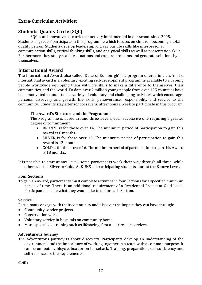### **Extra-Curricular Activities:**

### **Students' Quality Circle (SQC)**

SQC is an innovative co-curricular activity implemented in our school since 2005. Students of grade 8 participate in this programme which focuses on children becoming a total quality person. Students develop leadership and various life skills like interpersonal communication skills, critical thinking skills, and analytical skills as well as presentation skills. Furthermore, they study real life situations and explore problems and generate solutions by themselves.

### **International Award**

The International Award, also called 'Duke of Edinburgh' is a program offered in class 9. The international award is a voluntary, exciting self-development programme available to all young people worldwide equipping them with life skills to make a difference to themselves, their communities, and the world. To date over 7 million young people from over 125 countries have been motivated to undertake a variety of voluntary and challenging activities which encouragepersonal discovery and growth, life skills, perseverance, responsibility and service to the community. Students stay after school several afternoons a week to participate in this program.

#### **The Award's Structure and the Programme**

The Programme is based around three Levels, each successive one requiring a greater degree of commitment.

- BRONZE is for those over 14. The minimum period of participation to gain this Award is 6 months.
- SILVER is for those over 15. The minimum period of participation to gain this Award is 12 months.
- GOLD is for those over 16. The minimum period of participation to gain this Award is 18 months.
- It is possible to start at any Level- some participants work their way through all three, while others start at Silver or Gold. At KUHS, all participating students start at the Bronze Level.

#### **Four Sections**

To gain an Award, participants must complete activities in four Sections for a specified minimum period of time. There is an additional requirement of a Residential Project at Gold Level. Participants decide what they would like to do for each Section.

#### **Service**

Participants engage with their community and discover the impact they can have through:

- Community service projects.
- Conservation work.
- Voluntary service in hospitals on community home
- More specialized training such as lifesaving, first aid or rescue services.

#### **Adventurous Journey**

The Adventurous Journey is about discovery. Participants develop an understanding of the environment, and the importance of working together in a team with a common purpose. It can be on foot, by bicycle, boat or on horseback. Training, preparation, self-sufficiency and self-reliance are the key elements.

#### **Skills**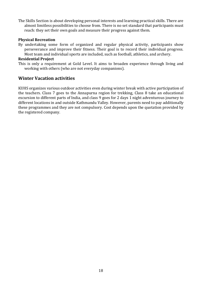The Skills Section is about developing personal interests and learning practical skills. There are almost limitless possibilities to choose from. There is no set standard that participants must reach: they set their own goals and measure their progress against them.

#### **Physical Recreation**

By undertaking some form of organized and regular physical activity, participants show perseverance and improve their fitness. Their goal is to record their individual progress. Most team and individual sports are included, such as football, athletics, and archery.

#### **Residential Project**

This is only a requirement at Gold Level. It aims to broaden experience through living and working with others (who are not everyday companions).

### **Winter Vacation activities**

KUHS organizes various outdoor activities even during winter break with active participation of the teachers. Class 7 goes to the Annapurna region for trekking, Class 8 take an educational excursion to different parts of India, and class 9 goes for 2 days 1 night adventurous journey to different locations in and outside Kathmandu Valley. However, parents need to pay additionally these programmes and they are not compulsory. Cost depends upon the quotation provided by the registered company.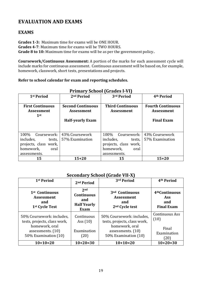### **EVALUATION AND EXAMS**

### **EXAMS**

**Grades 1-3:** Maximum time for exams will be ONE HOUR. **Grades 4-7**: Maximum time for exams will be TWO HOURS. **Grade 8 to 10:** Maximum time for exams will be as per the government policy..

**Coursework/Continuous Assessment:** A portion of the marks for each assessment cycle will include marks for continuous assessment. Continuous assessment will be based on, for example, homework, classwork, short tests, presentations and projects.

#### **Refer to school calendar for exam and reporting schedules.**

| 1 <sup>st</sup> Period                                 | 2 <sup>nd</sup> Period                        | 3rd Period                                   | 4 <sup>th</sup> Period                        |
|--------------------------------------------------------|-----------------------------------------------|----------------------------------------------|-----------------------------------------------|
| <b>First Continuous</b><br><b>Assessment</b><br>$1$ st | <b>Second Continuous</b><br><b>Assessment</b> | <b>Third Continuous</b><br><b>Assessment</b> | <b>Fourth Continuous</b><br><b>Assessment</b> |
|                                                        | <b>Half-yearly Exam</b>                       |                                              | <b>Final Exam</b>                             |
| 100%<br>Coursework:                                    | 43% Coursework                                | 100%<br>Coursework:                          | 43% Coursework                                |
| includes,<br>tests,                                    | 57% Examination                               | includes,<br>tests,                          | 57% Examination                               |
| projects, class work,                                  |                                               | projects, class work,                        |                                               |
| homework,<br>oral                                      |                                               | homework,<br>oral                            |                                               |
| assessments.                                           |                                               | assessments.                                 |                                               |
| 15                                                     | $15 + 20$                                     | 15                                           | $15+20$                                       |

### **Primary School (Grades I-VI)**

### **Secondary School (Grade VII-X)**

| 1 <sup>st</sup> Period                                                               | 2 <sup>nd</sup> Period                                                    | 3rd Period                                                                           | 4 <sup>th</sup> Period                                               |
|--------------------------------------------------------------------------------------|---------------------------------------------------------------------------|--------------------------------------------------------------------------------------|----------------------------------------------------------------------|
| 1 <sup>st</sup> Continuous<br><b>Assessment</b><br>and<br>1 <sup>st</sup> Cycle Test | 2 <sub>nd</sub><br><b>Continuous</b><br>and<br><b>Half Yearly</b><br>Exam | 3 <sup>nd</sup> Continuous<br><b>Assessment</b><br>and<br>2 <sup>nd</sup> Cycle test | 4 <sup>th</sup> Continuous<br><b>Ass</b><br>and<br><b>Final Exam</b> |
| 50% Coursework: includes,<br>tests, projects, class work,                            | Continuous<br>Ass $(10)$                                                  | 50% Coursework: includes,<br>tests, projects, class work,                            | <b>Continuous Ass</b><br>(10)                                        |
| homework, oral<br>assessments. (10)<br>50% Examination (10)                          | Examination<br>(20)                                                       | homework, oral<br>assessments. (10)<br>50% Examination (10)                          | Final<br>Examination<br>(20)                                         |
| $10+10=20$                                                                           | $10+20=30$                                                                | $10+10=20$                                                                           | $10+20=30$                                                           |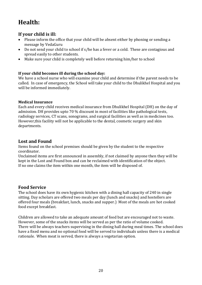# **Health:**

### **If your child is ill:**

- Please inform the office that your child will be absent either by phoning or sending a message by VedaGuru
- Do not send your child to school if s/he has a fever or a cold. These are contagious and spread easily to other students.
- Make sure your child is completely well before returning him/her to school

### **If your child becomes ill during the school day:**

We have a school nurse who will examine your child and determine if the parent needs to be called. In case of emergency, the School will take your child to the Dhulikhel Hospital and you will be informed immediately.

#### **Medical Insurance**

Each and every child receives medical insurance from Dhulikhel Hospital (DH) on the day of admission. DH provides upto 70 % discount in most of facilities like pathological tests, radiology services, CT scans, sonograms, and surgical facilities as well as in medicines too. However,this facility will not be applicable to the dental, cosmetic surgery and skin departments.

### **Lost and Found**

Items found on the school premises should be given by the student to the respective coordinator.

Unclaimed items are first announced in assembly, if not claimed by anyone then they will be kept in the Lost and Found box and can be reclaimed with identification of the object. If no one claims the item within one month, the item will be disposed of.

### **Food Service**

The school does have its own hygienic kitchen with a dining hall capacity of 240 in single sitting. Day scholars are offered two meals per day (lunch and snacks) and hostellers are offered four meals (breakfast, lunch, snacks and supper.) Most of the meals are hot cooked food except breakfast.

Children are allowed to take an adequate amount of food but are encouraged not to waste. However, some of the snacks items will be served as per the ratio of volume cooked. There will be always teachers supervising in the dining hall during meal times. The school does have a fixed menu and no optional food will be served to individuals unless there is a medical rationale. When meat is served, there is always a vegetarian option.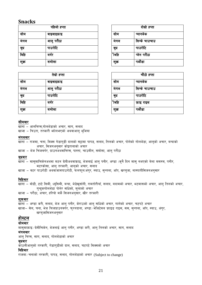### **Snacks**

|       | पहिलो हप्ता |       | दोस्रो हप्ता  |
|-------|-------------|-------|---------------|
| सोम   | वाइवाइफ्राइ | सोम   | प्यानकेक      |
| मंगल  | आलु परौठा   | मंगल  | सिन्के चाउचाउ |
| बुध   | पाउरोटि     | बुध   | पाउरोटि       |
| बिहि  | वगर         | ीबहि  | प्लेन परौठा   |
| शुक्र | समोसा       | शुक्र | पकोडा         |

| तेस्रो हप्ता |             |  |       | चौठो हप्ता    |
|--------------|-------------|--|-------|---------------|
| सोम          | वाइवाइफ्राइ |  | सोम   | प्यानकक       |
| मंगल         | आलु परौठा   |  | मंगल  | सिन्के चाउचाउ |
| बुध          | पाउरोटि     |  | बुध   | पाउरोटि       |
| बिहि         | वर्गर       |  | ीबहि  | फ्राइ राइस    |
| शुक्र        | समोसा       |  | शुक्र | पकोडा         |

| दोस्रो हप्ता |               |  |
|--------------|---------------|--|
| सोम          | प्यानकेक      |  |
| मंगल         | सिन्के चाउचाउ |  |
| बुध          | पाउरोटि       |  |
| ीबहि         | प्लेन परौठा   |  |
| शुक्र        | पकौडा         |  |

| चौठो हप्ता |               |  |
|------------|---------------|--|
| सोम        | प्यानकेक      |  |
| मंगल       | सिन्के चाउचाउ |  |
| बुध        | पाउरोटि       |  |
| ीबहि       | फ्राइ राइस    |  |
| शुक्र      | पकौडा         |  |

#### सोमबार

खाना – आलचिप्स,गोलभेंडाको अचार, साग, सलाद

खाजा – चिउरा, तरकारी भोलभएको अथवाआलु भुजिया

#### मंगलबार

खाना – राजमा, चना, मिक्स गेडागुडी दालको सट्टामा पापड, सलाद, तिलको अचार, पोलेको गोलभेंडा, आलुको अचार, बन्दाको अचार, सिजनअनुसार कोइरालाको अचार

खाजा – भेज चिजवर्गर, प्राउनअथवाचिप्स, पास्ता, चाउमीन, समोसा, आलु परौठा

#### <u>बुधबार</u>

- खाना मासुमाचिकेनअथवा मटन ग्रेबीअथवाफ्राइ, भेजलाई आलु पनीर, अण्डा (कुनै दिन मासु नभएको बेला मसरुम, पनीर, मटरकोसा, आल तरकारी, आलको अचार, सलाद
- खाजा वटर पाउरोटी अथवाजामपाउरोटी, फलफूल:अंग्र, स्याउ, सुन्तला, आँप, खरब्जा, नास्पातीसिजनअनुसार

#### विहिबार

खाना – वोडी, टाटे सिमी, ध्यसिमी, बन्दा, भेडेखर्सानी, रामतोरीयाँ, सलाद, बदामको अचार, भटमासको अचार, आलु तिलको अचार, गन्द्रकगोलभेंडा पोलेर साँधेको, मुलाको अचार

खाजा – परौठा, अचार, हरियो मकै सिजनअनुसार, खीर तरकारी

#### शुक्रबार

खाना – अण्डा करी, सलाद, भेज आल् पनीर, केराउको आल् साँधेको अचार, गालेको अचार, चटपटे अचार खाजा– सेल, चना, भेज चिजप्राउनवर्गर, फुरनदाना, अण्डा ⁄ भेजिटेवल फ्राइड राइस, सस, सुन्तला, आँप, स्याउ, अंगुर, खरब्जासिजनअनुसार

### होस्टल

#### सोमवार

मासुमाफ्राइ / ग्रेवीचिकेन, भेजलाई आलु पनीर, अण्डा करी, आलु तिलको अचार, साग, सलाद

#### मंगलबार

आल् चिप्स, साग, सलाद, गोलभेंडाको अचार

#### बधबार

काउलीआलुको तरकारी, गेडागुडीको दाल, सलाद, चटपटे मिक्सको अचार

#### विहिबार

राजमा $\pi$ चनाको तरकारी, पापड, सलाद, गोलभेंडाको अचार (Subject to change)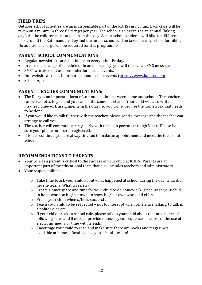### **FIELD TRIPS**

Outdoor school activities are an indispensable part of the KUHS curriculum. Each class will be taken on a minimum three field trips per year. The school also organizes an annual "hiking day". All the children must take part in this day. Senior school students will hike up different hills around the Kathmandu valley and the junior school will be taken nearby school for hiking. No additional charge will be required for this programme.

### **PARENT SCHOOL COMMUNICATIONS**

- Regular newsletters are sent home on every other Friday.
- In case of a change of schedule or in an emergency, you will receive an SMS message.
- SMS's are also sent as a reminder for special events.
- Our website also has information about school events [\(https://www.kuhs.edu.np\)](https://www.kuhs.edu.np/)
- School App

### **PARENT TEACHER COMMUNICATIONS**;

- The Diary is an important form of communication between home and school. The teacher can write notes to you and you can do the same in return. Your child will also write his/her homework assignments in the diary so you can supervise the homework that needs to be done.
- If you would like to talk further with the teacher, please send a message and the teacher can arrange to call you.
- The teacher will communicate regularly with the class parents through Viber. Please be sure your phone number is registered.
- If issues continue, you are always invited to make an appointment and meet the teacher at school.

### **RECOMMENDATIONS TO PARENTS:**

- Your role as a parent is critical to the success of your child at KUHS. Parents are an important part of the educational team that also includes teachers and administrators.
- Your responsibilities:
	- o Take time to ask your child about what happened at school during the day, what did he/she learn? What was new?
	- o Create a quiet space and time for your child to do homework. Encourage your child to homework on his/her own; to show his/her own work and effort.
	- o Praise your child when s/he is successful.
	- o Teach your child to be respectful not to interrupt when others are talking, to talk in a polite voice etc.
	- o If your child breaks a school rule, please talk to your child about the importance of following rules and if needed provide necessary consequences like loss of the use of electronic media or time with friends.
	- o Encourage your child to read and make sure there are books and magazines available at home. Reading is key to school success!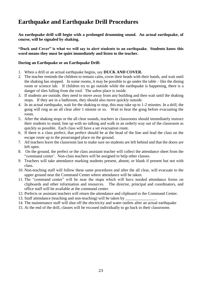# **Earthquake and Earthquake Drill Procedures**

**An earthquake drill will begin with a prolonged drumming sound. An actual earthquake, of course, will be signaled by shaking.** 

**"Duck and Cover" is what we will say to alert students to an earthquake. Students know this word means they must be quiet immediately and listen to the teacher.** 

#### **During an Earthquake or an Earthquake Drill:**

- 1. When a drill or an actual earthquake begins, say **DUCK AND COVER.**
- 2. The teacher reminds the children to remain calm, cover their heads with their hands, and wait until the shaking has stopped. In some rooms, it may be possible to go under the table – like the dining room or science lab. If children try to go outside while the earthquake is happening, there is a danger of tiles falling from the roof. The safest place is inside.
- 3. If students are outside, they need to move away from any building and then wait until the shaking stops. If they are in a bathroom, they should also move quickly outside.
- 4. In an actual earthquake, wait for the shaking to stop, this may take up to 1-2 minutes. In a drill, the gong will ring as an all clear after 1 minute or so. Wait to hear the gong before evacuating the room.
- 5. After the shaking stops or the all clear sounds, teachers in classrooms should immediately instruct their students to stand, line up with no talking and walk in an orderly way out of the classroom as quickly as possible. Each class will have a set evacuation route.
- 6. If there is a class prefect, that prefect should be at the head of the line and lead the class on the escape route up to the prearranged place on the ground.
- 7. All teachers leave the classroom last to make sure no students are left behind and that the doors are left open.
- 8. On the ground, the prefect or the class assistant teacher will collect the attendance sheet from the "command center'. Non-class teachers will be assigned to help other classes.
- 9. Teachers will take attendance marking students present, absent, or blank if present but not with class.
- 10. Non-teaching staff will follow these same procedures and after the all clear, will evacuate to the upper ground near the Command Center where attendance will be taken.
- 11. The "command center" will be near the stupa which will have needed attendance forms on clipboards and other information and resources. The director, principal and coordinators, and office staff will be available at the command center.
- 12. Prefects or assistant teachers will return the attendance and clipboard to the Command Center.
- 13. Staff attendance (teaching and non-teaching) will be taken by
- 14. The maintenance staff will shut off the electricity and water outlets after an actual earthquake
- 15. At the end of the drill, classes will be excused individually to go back to their classrooms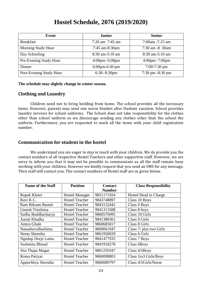# **Hostel Schedule, 2076 (2019/2020)**

| Event                   | <b>Junior</b>                     | <b>Senior</b>                       |
|-------------------------|-----------------------------------|-------------------------------------|
| <b>Breakfast</b>        | $7:20$ am $7:45$ am               | $7:00$ am $-7:25$ am                |
| Morning Study Hour      | $7:45$ am-8:30am                  | $7:30$ am $-8:30$ am                |
| Day Schooling           | $8:30$ am-3:10 am                 | $8:30$ am-3:10 am                   |
| Pre-Evening Study Hour  | $4:00 \text{pm} - 6:00 \text{pm}$ | $4:00$ pm- 7:00pm                   |
| Dinner                  | $6:00$ pm- $6:30$ pm              | $7:00-7:30$ pm                      |
| Post-Evening Study Hour | $6:30-8:30$ pm                    | $7:30 \text{ pm } -8:30 \text{ pm}$ |

**The schedule may slightly change in winter season.**

### **Clothing and Laundry**

Children need not to bring bedding from home. The school provides all the necessary items. However, parents may send one warm blanket after Dashain vacation. School provides laundry services for school uniforms. The School does not take responsibility for the clothes other than school uniform so we discourage sending any clothes other than the school the uniform. Furthermore, you are requested to mark all the items with your child registration number.

### **Communication for student in the hostel**

We understand you are eager to stay in touch with your children. We do provide you the contact numbers of all respective Hostel Teachers and other supportive staff. However, we are sorry to inform you that it may not be possible to communicate as all the staff remain busy working with your children. However we kindly request that you send an SMS for any message. Then staff will contact you. The contact numbers of Hostel staff are as given below.

| <b>Name of the Staff</b> | <b>Position</b>       | <b>Contact</b> | <b>Class Responsibility</b> |
|--------------------------|-----------------------|----------------|-----------------------------|
|                          |                       | <b>Number</b>  |                             |
| Rupak Khatri             | <b>Hostel Manager</b> | 9851171924     | Hostel Head in Charge       |
| Ravi K.C.                | <b>Hostel Teacher</b> | 9843748897     | Class 10 Boys               |
| <b>Ram Bikram Basnet</b> | <b>Hostel Teacher</b> | 9843132442     | Class 9 Boys                |
| Umesh Timilsina          | <b>Hostel Teacher</b> | 9841313588     | Class 8 boys                |
| Sudha Buddhacharya       | <b>Hostel Teacher</b> | 9860576995     | Class 10 Girls              |
| Aarati Khadka            | <b>Hostel Teacher</b> | 9841388361     | Class 9 Girls               |
| Amira Ghale              | <b>Hostel Teacher</b> | 9860685817     | Class 8 Girls               |
| NanashovaBashima         | <b>Hostel Teacher</b> | 9869061947     | Class 7/ plus two Girls     |
| Neetu Shrestha           | <b>Hostel Teacher</b> | 9861950029     | Class 6 Girls               |
| Ngudup Dorje Lama        | <b>Hostel Teacher</b> | 9841477935     | Class 7 Boys                |
| Sushmita Bhusal          | <b>Hostel Teacher</b> | 9841918278     | Class 6Boys                 |
| Sita Thapa Magar         | <b>Hostel Teacher</b> | 9801250347     | Class 4/5Boys               |
| Roma Pariyar             | <b>Hostel Teacher</b> | 9860098803     | Class 1to3 Girls/Boys       |
| Appechhya Shrestha       | <b>Hostel Teacher</b> | 9860089797     | Class 4/5Girls/Nurse        |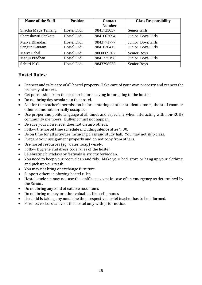| <b>Name of the Staff</b> | <b>Position</b>    | <b>Contact</b> | <b>Class Responsibility</b> |
|--------------------------|--------------------|----------------|-----------------------------|
|                          |                    | <b>Number</b>  |                             |
| Shacha Maya Tamang       | Hostel Didi        | 9841725057     | <b>Senior Girls</b>         |
| Sharashowti Sapkota      | Hostel Didi        | 9841007094     | Junior Boys/Girls           |
| Maiya Bhandari           | Hostel Didi        | 9843771777     | Junior Boys/Girls           |
| Sangita Gautam           | <b>Hostel Didi</b> | 9841670415     | Junior Boys/Girls           |
| MaiyaDahal               | Hostel Didi        | 9860069307     | <b>Senior Boys</b>          |
| Manju Pradhan            | <b>Hostel Didi</b> | 9841725198     | Junior Boys/Girls           |
| Sabitri K.C.             | Hostel Didi        | 9843398532     | Senior Boys                 |

### **Hostel Rules:**

- Respect and take care of all hostel property. Take care of your own property and respect the property of others.
- Get permission from the teacher before leaving for or going to the hostel.
- Do not bring day scholars to the hostel.
- Ask for the teacher's permission before entering another student's room, the staff room or other rooms not normally occupied.
- Use proper and polite language at all times and especially when interacting with non-KUHS community members. Bullying must not happen.
- Be sure your noise level does not disturb others.
- Follow the hostel time schedule including silence after 9:30.
- Be on time for all activities including class and study hall. You may not skip class.
- Prepare your assignment properly and do not copy from others.
- Use hostel resources (eg. water, soap) wisely.
- Follow hygiene and dress code rules of the hostel.
- Celebrating birthdays or festivals is strictly forbidden.
- You need to keep your room clean and tidy. Make your bed, store or hang up your clothing, and pick up your trash.
- You may not bring or exchange furniture.
- Support others in obeying hostel rules.
- Hostel students may not use the staff bus except in case of an emergency as determined by the School.
- Do not bring any kind of eatable food items
- Do not bring money or other valuables like cell phones
- If a child is taking any medicine then respective hostel teacher has to be informed.
- Parents/visitors can visit the hostel only with prior notice.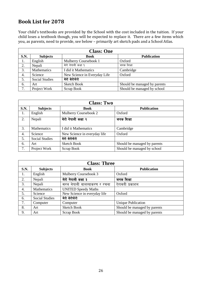## **Book List for 2078**

Your child's textbooks are provided by the School with the cost included in the tuition. If your child loses a textbook though, you will be expected to replace it. There are a few items which you, as parents, need to provide, see below – primarily art sketch pads and a School Atlas.

| <b>Class: One</b> |                       |                              |                              |
|-------------------|-----------------------|------------------------------|------------------------------|
| <b>S.N.</b>       | <b>Subjects</b>       | <b>Book</b>                  | <b>Publication</b>           |
| 1.                | English               | Mulberry Coursebook 1        | Oxford                       |
| 2.                | Nepali                | मेरो नेपाली कक्षा १          | जनक शिक्षा                   |
| 3.                | Mathematics           | I did it Mathematics         | Cambridge                    |
| 4.                | Science               | New Science in Everyday Life | Oxford                       |
| 5.                | <b>Social Studies</b> | मेरो सेरोफेरो                |                              |
| 6.                | Art                   | <b>Sketch Book</b>           | Should be managed by parents |
| 7.                | Project Work          | Scrap Book                   | Should be managed by school  |

| <b>Class: Two</b> |                       |                              |                              |
|-------------------|-----------------------|------------------------------|------------------------------|
| S.N.              | <b>Subjects</b>       | <b>Book</b>                  | <b>Publication</b>           |
| 1.                | English               | Mulberry Coursebook 2        | Oxford                       |
| 2.                | Nepali                | मेरो नेपाली कक्षा २          | जनक शिक्षा                   |
| 3.                | <b>Mathematics</b>    | I did it Mathematics         | Cambridge                    |
| 4.                | Science               | New Science in everyday life | Oxford                       |
| 5.                | <b>Social Studies</b> | मेरो सेरोफेरो                |                              |
| 6.                | Art                   | <b>Sketch Book</b>           | Should be managed by parents |
| 7.                | Project Work          | Scrap Book                   | Should be managed by school  |

| <b>Class: Three</b> |                       |                              |                              |
|---------------------|-----------------------|------------------------------|------------------------------|
| <b>S.N.</b>         | <b>Subjects</b>       | <b>Book</b>                  | <b>Publication</b>           |
| 1.                  | English               | Mulberry Coursebook 3        | Oxford                       |
| 2.                  | Nepali                | मेरो नेपाली कक्षा ३          | जनक शिक्षा                   |
| 3.                  | Nepali                | सरल नेपाली बालव्याकरण र रचना | ऐरावती प्रकाशन               |
| 4.                  | Mathematics           | <b>UNITED Speedy Maths</b>   |                              |
| 5.                  | Science               | New Science in everyday life | Oxford                       |
| 6.                  | <b>Social Studies</b> | मेरो सेरोफेरो                |                              |
| 7.                  | Computer              | Computer                     | <b>Unique Publication</b>    |
| 8.                  | Art                   | <b>Sketch Book</b>           | Should be managed by parents |
| 9.                  | Art                   | Scrap Book                   | Should be managed by parents |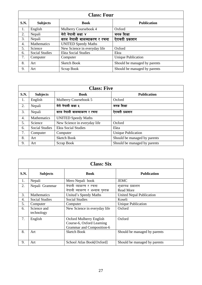|      | <b>Class: Four</b>    |                              |                              |  |
|------|-----------------------|------------------------------|------------------------------|--|
| S.N. | <b>Subjects</b>       | <b>Book</b>                  | <b>Publication</b>           |  |
| 1.   | English               | Mulberry Coursebook 4        | Oxford                       |  |
| 2.   | Nepali                | मेरो नेपाली कक्षा ४          | जनक शिक्षा                   |  |
| 3.   | Nepali                | सरल नेपाली बालव्याकरण र रचना | ऐरावती प्रकाशन               |  |
| 4.   | Mathematics           | <b>UNITED Speedy Maths</b>   |                              |  |
| 5.   | Science               | New Science in everyday life | Oxford                       |  |
| 6.   | <b>Social Studies</b> | <b>Ekta Social Studies</b>   | Ekta                         |  |
| 7.   | Computer              | Computer                     | <b>Unique Publication</b>    |  |
| 8.   | Art                   | <b>Sketch Book</b>           | Should be managed by parents |  |
| 9.   | Art                   | Scrap Book                   | Should be managed by parents |  |

| <b>Class: Five</b> |                       |                              |                              |  |
|--------------------|-----------------------|------------------------------|------------------------------|--|
| S.N.               | <b>Subjects</b>       | <b>Book</b>                  | <b>Publication</b>           |  |
| 1.                 | English               | Mulberry Coursebook 5        | Oxford                       |  |
| 2.                 | Nepali                | मेरो नेपाली कक्षा ५          | जनक शिक्षा                   |  |
| 3.                 | Nepali                | सरल नेपाली बालव्याकरण र रचना | ऐरावती प्रकाशन               |  |
| 4.                 | <b>Mathematics</b>    | <b>UNITED Speedy Maths</b>   |                              |  |
| 5.                 | Science               | New Science in everyday life | Oxford                       |  |
| 6.                 | <b>Social Studies</b> | <b>Ekta Social Studies</b>   | Ekta                         |  |
| 7.                 | Computer              | Computer                     | <b>Unique Publication</b>    |  |
| 8.                 | Art                   | <b>Sketch Book</b>           | Should be managed by parents |  |
| 9.                 | Art                   | Scrap Book                   | Should be managed by parents |  |

|      | <b>Class: Six</b>         |                                |                              |  |
|------|---------------------------|--------------------------------|------------------------------|--|
| S.N. | <b>Subjects</b>           | <b>Book</b>                    | <b>Publication</b>           |  |
| 1.   | Nepali                    | Mero Nepali book               | <b>JEMC</b>                  |  |
| 2.   | Nepali Grammar            | नेपाली व्याकरण र रचना          | शुभारम्भ प्रकाशन             |  |
|      |                           | नेपाली ब्याकरण र अभ्यास पुस्तक | <b>Read More</b>             |  |
| 3.   | Mathematics               | United's Speedy Maths          | United Nepal Publication     |  |
| 4.   | <b>Social Studies</b>     | <b>Social Studies</b>          | Koseli                       |  |
| 5.   | Computer                  | Computer                       | <b>Unique Publication</b>    |  |
| 6.   | Science and<br>technology | New Science in everyday life   | Oxford                       |  |
| 7.   | English                   | <b>Oxford Mulberry English</b> | Oxford                       |  |
|      |                           | Course-6, Oxford Learning      |                              |  |
|      |                           | Grammar and Composition-6      |                              |  |
| 8.   | Art                       | <b>Sketch Book</b>             | Should be managed by parents |  |
| 9.   | Art                       | School Atlas Book[Oxford]      | Should be managed by parents |  |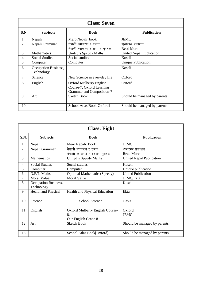| <b>Class: Seven</b> |                                    |                                                                                   |                                      |
|---------------------|------------------------------------|-----------------------------------------------------------------------------------|--------------------------------------|
| S.N.                | <b>Subjects</b>                    | <b>Book</b>                                                                       | <b>Publication</b>                   |
| 1.                  | Nepali                             | Mero Nepali book                                                                  | <b>JEMC</b>                          |
| 2.                  | Nepali Grammar                     | नेपाली व्याकरण र रचना<br>नेपाली ब्याकरण र अभ्यास पुस्तक                           | शुभारम्भ प्रकाशन<br><b>Read More</b> |
| 3.                  | <b>Mathematics</b>                 | United's Speedy Maths                                                             | <b>United Nepal Publication</b>      |
| 4.                  | <b>Social Studies</b>              | Social studies                                                                    | Koseli                               |
| 5.                  | Computer                           | Computer                                                                          | <b>Unique Publication</b>            |
| 6.                  | Occupation Business,<br>Technology |                                                                                   | Koseli                               |
| 7.                  | Science                            | New Science in everyday life                                                      | Oxford                               |
| 8.                  | English                            | Oxford Mulberry English<br>Course-7, Oxford Learning<br>Grammar and Composition-7 | Oxford                               |
| 9.                  | Art                                | <b>Sketch Book</b>                                                                | Should be managed by parents         |
| 10.                 |                                    | School Atlas Book[Oxford]                                                         | Should be managed by parents         |

| <b>Class: Eight</b> |                                    |                                     |                                 |
|---------------------|------------------------------------|-------------------------------------|---------------------------------|
| S.N.                | <b>Subjects</b>                    | <b>Book</b>                         | <b>Publication</b>              |
| 1.                  | Nepali                             | Mero Nepali Book                    | <b>JEMC</b>                     |
| 2.                  | Nepali Grammar                     | <u>नेपाली व्याकरण र रचना</u>        | शुभारम्भ प्रकाशन                |
|                     |                                    | नेपाली ब्याकरण र अभ्यास पुस्तक      | <b>Read More</b>                |
| 3.                  | <b>Mathematics</b>                 | United's Speedy Maths               | <b>United Nepal Publication</b> |
| 4.                  | <b>Social Studies</b>              | Social studies                      | Koseli                          |
| 5.                  | Computer                           | Computer                            | Unique publication              |
| 6.                  | O.P.T. Maths                       | <b>Optional Mathematics(Speedy)</b> | <b>United Publication</b>       |
| 7.                  | <b>Moral Value</b>                 | <b>Moral Value</b>                  | JEMC/Ekta                       |
| 8.                  | Occupation Business,<br>Technology |                                     | Koseli                          |
| 9.                  | Health and Physical                | Health and Physical Education       | Ekta                            |
| 10.                 | Science                            | <b>School Science</b>               | Oasis                           |
| 11.                 | English                            | Oxford Mulberry English Course-     | Oxford                          |
|                     |                                    | 8.<br>Our English Grade 8           | <b>JEMC</b>                     |
| 12.                 | Art                                | <b>Sketch Book</b>                  | Should be managed by parents    |
| 13.                 |                                    | School Atlas Book[Oxford]           | Should be managed by parents    |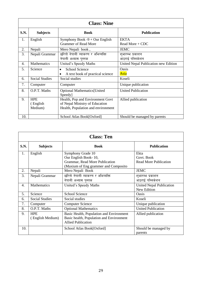| <b>Class: Nine</b> |                                   |                                                                                                          |                                      |
|--------------------|-----------------------------------|----------------------------------------------------------------------------------------------------------|--------------------------------------|
| S.N.               | <b>Subjects</b>                   | <b>Book</b>                                                                                              | <b>Publication</b>                   |
| 1.                 | English                           | Symphony Book $-9 + Our$ English<br><b>Grammer of Read More</b>                                          | <b>EKTA</b><br>Read More + CDC       |
| 2.                 | Nepali                            | Mero Nepali book,                                                                                        | <b>JEMC</b>                          |
| 3.                 | Nepali Grammar                    | छरितो नेपाली व्याकरण र अभिव्यक्ति<br>नेपाली अभ्यास पुस्तक                                                | शुभारम्भ प्रकाशन<br>आठराई पब्लिकेशन  |
| 4.                 | <b>Mathematics</b>                | United's Speedy Maths                                                                                    | United Nepal Publication new Edition |
| 5.                 | Science                           | <b>School Science</b><br>$\bullet$<br>A text book of practical science                                   | Oasis<br>Asia                        |
| 6.                 | <b>Social Studies</b>             | Social studies                                                                                           | Koseli                               |
| 7.                 | Computer                          | Computer                                                                                                 | Unique publication                   |
| 8.                 | O.P.T. Maths                      | <b>Optional Mathematics</b> [United<br>Speedy]                                                           | <b>United Publication</b>            |
| 9.                 | <b>HPE</b><br>(English<br>Medium) | Health, Pop and Environment Govt<br>of Nepal Ministry of Education<br>Health, Population and environment | Allied publication                   |
| 10.                |                                   | School Atlas Book[Oxford]                                                                                | Should be managed by parents         |

| <b>Class: Ten</b> |                                |                                                                                                                     |                                                    |
|-------------------|--------------------------------|---------------------------------------------------------------------------------------------------------------------|----------------------------------------------------|
| <b>S.N.</b>       | <b>Subjects</b>                | <b>Book</b>                                                                                                         | <b>Publication</b>                                 |
| 1.                | English                        | Symphony Grade 10<br>Our English Book-10,<br>Grammar, Read More Publication<br>(Maxium of Eng grammer and Composito | Ekta<br>Govt. Book<br><b>Read More Publication</b> |
| 2.                | Nepali                         | Mero Nepali Book                                                                                                    | <b>JEMC</b>                                        |
| 3.                | Nepali Grammar                 | छरितो नेपाली व्याकरण र अभिव्यक्ति<br>नेपाली अभ्यास पुस्तक                                                           | शुभारम्भ प्रकाशन<br>आठराई पब्लिकेशन                |
| 4.                | <b>Mathematics</b>             | United's Speedy Maths                                                                                               | <b>United Nepal Publication</b><br>New Edition     |
| 5.                | Science                        | School Science                                                                                                      | Oasis                                              |
| 6.                | <b>Social Studies</b>          | Social studies                                                                                                      | Koseli                                             |
| 7.                | Computer                       | <b>Computer Science</b>                                                                                             | Unique publication                                 |
| 8.                | O.P.T. Maths                   | <b>Optional Mathematics</b>                                                                                         | <b>United Publication</b>                          |
| 9.                | <b>HPE</b><br>(English Medium) | Basic Health, Population and Environment<br>Basic health, Population and Environment<br><b>Allied Publication</b>   | Allied publication                                 |
| 10.               |                                | School Atlas Book[Oxford]                                                                                           | Should be managed by<br>parents                    |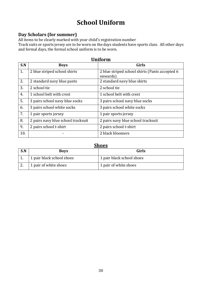# **School Uniform**

### **Day Scholars (for summer)**

All items to be clearly marked with your child's registration number

Track suits or sports jersey are to be worn on the days students have sports class. All other days and formal days, the formal school uniform is to be worn.

| <b>Uniform</b> |                                    |                                                            |  |
|----------------|------------------------------------|------------------------------------------------------------|--|
| S.N            | <b>Boys</b>                        | <b>Girls</b>                                               |  |
| 1.             | 2 blue striped school shirts       | 2 blue striped school shirts (Pants accepted 6<br>onwards) |  |
| 2.             | 2 standard navy blue pants         | 2 standard navy blue skirts                                |  |
| 3.             | 2 school tie                       | 2 school tie                                               |  |
| 4.             | 1 school belt with crest           | 1 school belt with crest                                   |  |
| 5.             | 3 pairs school navy blue socks     | 3 pairs school navy blue socks                             |  |
| 6.             | 3 pairs school white socks         | 3 pairs school white socks                                 |  |
| 7.             | 1 pair sports jersey               | 1 pair sports jersey                                       |  |
| 8.             | 2 pairs navy blue school tracksuit | 2 pairs navy blue school tracksuit                         |  |
| 9.             | 2 pairs school t-shirt             | 2 pairs school t-shirt                                     |  |
| 10.            |                                    | 2 black bloomers                                           |  |

| <b>Shoes</b> |                           |                           |  |
|--------------|---------------------------|---------------------------|--|
| S.N          | <b>Boys</b>               | Girls                     |  |
|              | 1 pair black school shoes | 1 pair black school shoes |  |
|              | 1 pair of white shoes     | 1 pair of white shoes     |  |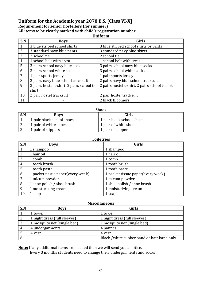#### **Uniform for the Academic year 2078 B.S. [Class VI-X] Requirement for senior hostellers (for summer) All items to be clearly marked with child's registration number Uniform**

| S.N | <b>Boys</b>                               | Girls                                          |
|-----|-------------------------------------------|------------------------------------------------|
| 1.  | 3 blue striped school shirts              | 3 blue striped school shirts or pants          |
| 2.  | 3 standard navy blue pants                | 3 standard navy blue skirts                    |
| 3.  | 2 school tie                              | 2 school tie                                   |
| 4.  | 1 school belt with crest                  | 1 school belt with crest                       |
| 5.  | 3 pairs school navy blue socks            | 3 pairs school navy blue socks                 |
| 6.  | 3 pairs school white socks                | 3 pairs school white socks                     |
| 7.  | 1 pair sports jersey                      | 1 pair sports jersey                           |
| 8.  | 2 pairs navy blue school tracksuit        | 2 pairs navy blue school tracksuit             |
| 9.  | 2 pairs hostel t-shirt, 2 pairs school t- | 2 pairs hostel t-shirt, 2 pairs school t-shirt |
|     | shirt                                     |                                                |
| 10. | 2 pair hostel tracksuit                   | 2 pair hostel tracksuit                        |
| 11. |                                           | 2 black bloomers                               |

| <b>Shoes</b> |                           |                           |  |
|--------------|---------------------------|---------------------------|--|
| S.N          | <b>Boys</b>               | Girls                     |  |
|              | 1 pair black school shoes | 1 pair black school shoes |  |
| <u>.</u>     | 1 pair of white shoes     | 1 pair of white shoes     |  |
| υ.           | 1 pair of slippers        | 1 pair of slippers        |  |

| <b>Toiletries</b> |                                   |                                   |  |
|-------------------|-----------------------------------|-----------------------------------|--|
| S.N               | <b>Boys</b>                       | <b>Girls</b>                      |  |
| 1.                | 1 shampoo                         | 1 shampoo                         |  |
| 2.                | 1 hair oil                        | 1 hair oil                        |  |
| 3.                | 1 comb                            | 1 comb                            |  |
| 4.                | 1 tooth brush                     | 1 tooth brush                     |  |
| 5.                | 1 tooth paste                     | 1 tooth paste                     |  |
| 6.                | 1 packet tissue paper(every week) | 1 packet tissue paper(every week) |  |
| 7.                | 1 talcum powder                   | 1 talcum powder                   |  |
| 8.                | 1 shoe polish / shoe brush        | 1 shoe polish / shoe brush        |  |
| 9.                | 1 moisturizing cream              | 1 moisturizing cream              |  |
| 10.               | 1 soap                            | 1 soap                            |  |

| <b>Miscellaneous</b> |                              |                                            |  |
|----------------------|------------------------------|--------------------------------------------|--|
| S.N                  | <b>Boys</b>                  | Girls                                      |  |
| 1.                   | 1 towel                      | 1 towel                                    |  |
| 2.                   | 1 night dress (full sleeves) | 1 night dress (full sleeves)               |  |
| 3.                   | 1 mosquito net (single bed)  | 1 mosquito net (single bed)                |  |
| 4.                   | 4 undergarments              | 4 panties                                  |  |
| 5.                   | 4 yest                       | 4 yest                                     |  |
| -6.                  |                              | Black /white rubber band or hair band only |  |

**Note:** If any additional items are needed then we will send you a notice.

Every 3 months students need to change their undergarments and socks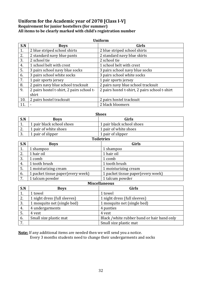#### **Uniform for the Academic year of 2078 [Class I-V] Requirement for junior hostellers (for summer) All items to be clearly marked with child's registration number**

| <b>Uniform</b> |                                           |                                                |  |
|----------------|-------------------------------------------|------------------------------------------------|--|
| S.N            | <b>Boys</b>                               | <b>Girls</b>                                   |  |
| 1.             | 2 blue striped school shirts              | 2 blue striped school shirts                   |  |
| 2.             | 2 standard navy blue pants                | 2 standard navy blue skirts                    |  |
| 3.             | 2 school tie                              | 2 school tie                                   |  |
| 4.             | 1 school belt with crest                  | 1 school belt with crest                       |  |
| 5.             | 3 pairs school navy blue socks            | 3 pairs school navy blue socks                 |  |
| 6.             | 3 pairs school white socks                | 3 pairs school white socks                     |  |
| 7.             | 1 pair sports jersey                      | 1 pair sports jersey                           |  |
| 8.             | 2 pairs navy blue school tracksuit        | 2 pairs navy blue school tracksuit             |  |
| 9.             | 2 pairs hostel t-shirt, 2 pairs school t- | 2 pairs hostel t-shirt, 2 pairs school t-shirt |  |
|                | shirt                                     |                                                |  |
| 10.            | 2 pairs hostel tracksuit                  | 2 pairs hostel tracksuit                       |  |
| 11.            |                                           | 2 black bloomers                               |  |

| <b>Shoes</b> |                           |                           |
|--------------|---------------------------|---------------------------|
| S.N          | <b>Boys</b>               | Girls                     |
| 1.           | 1 pair black school shoes | 1 pair black school shoes |
| 2.           | 1 pair of white shoes     | 1 pair of white shoes     |
| 3.           | 1 pair of slipper         | 1 pair of slipper         |
|              |                           | <b>Toiletries</b>         |
| S.N          | <b>Boys</b>               | <b>Girls</b>              |
| 1.           | 1 shampoo                 | 1 shampoo                 |
| 2.           | 1 hair oil                | 1 hair oil                |
| 3.           | 1 comb                    | 1 comb                    |
| 4.           | 1 tooth brush             | 1 tooth brush             |

| 4.             | T tooth brush                      | T tooth brush                      |
|----------------|------------------------------------|------------------------------------|
| .ບ.            | 1 moisturizing cream               | 1 moisturizing cream               |
| $\mathbf{b}$ . | 1 packet tissue paper (every week) | 1 packet tissue paper (every week) |
|                | 1 talcum powder                    | 1 talcum powder                    |

#### **Miscellaneous**

| S.N          | <b>Boys</b>                  | Girls                                      |
|--------------|------------------------------|--------------------------------------------|
|              | 1 towel                      | 1 towel                                    |
| 2.           | 1 night dress (full sleeves) | 1 night dress (full sleeves)               |
| 3.           | 1 mosquito net (single bed)  | 1 mosquito net (single bed)                |
| 4.           | 4 undergarments              | 4 panties                                  |
| 5.           | 4 yest                       | 4 yest                                     |
| 6.           | Small size plastic mat       | Black /white rubber band or hair band only |
| $\mathbf{r}$ |                              | Small size plastic mat                     |

**Note:** If any additional items are needed then we will send you a notice. Every 3 months students need to change their undergarments and socks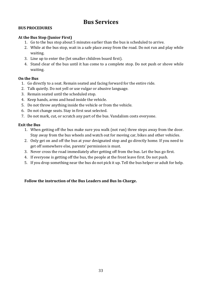# **Bus Services**

### **BUS PROCEDURES**

### **At the Bus Stop (Junior First)**

- 1. Go to the bus stop about 5 minutes earlier than the bus is scheduled to arrive.
- 2. While at the bus stop, wait in a safe place away from the road. Do not run and play while waiting.
- 3. Line up to enter the (let smaller children board first).
- 4. Stand clear of the bus until it has come to a complete stop. Do not push or shove while waiting.

#### **On the Bus**

- 1. Go directly to a seat. Remain seated and facing forward for the entire ride.
- 2. Talk quietly. Do not yell or use vulgar or abusive language.
- 3. Remain seated until the scheduled stop.
- 4. Keep hands, arms and head inside the vehicle.
- 5. Do not throw anything inside the vehicle or from the vehicle.
- 6. Do not change seats. Stay in first seat selected.
- 7. Do not mark, cut, or scratch any part of the bus. Vandalism costs everyone.

#### **Exit the Bus**

- 1. When getting off the bus make sure you walk (not run) three steps away from the door. Stay away from the bus wheels and watch out for moving car, bikes and other vehicles.
- 2. Only get on and off the bus at your designated stop and go directly home. If you need to get off somewhere else, parents' permission is must.
- 3. Never cross the road immediately after getting off from the bus. Let the bus go first.
- 4. If everyone is getting off the bus, the people at the front leave first. Do not push.
- 5. If you drop something near the bus do not pick it up. Tell the bus helper or adult for help.

### **Follow the instruction of the Bus Leaders and Bus In-Charge.**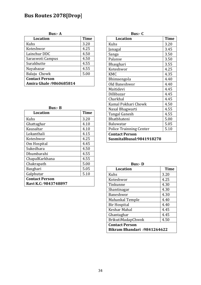# **Bus Routes 2078[Drop**]

**Bus:- A**

| <b>Location</b>         | <b>Time</b> |
|-------------------------|-------------|
| Kuhs                    | 3.20        |
| Koteshwor               | 4.25        |
| Lainchur DDC            | 4.50        |
| Saraswoti Campus        | 4.50        |
| Surakhutte              | 4.55        |
| Nayabazar               | 4.55        |
| Balaju Chowk            | 5.00        |
| <b>Contact Person</b>   |             |
| Amira Ghale: 9860685814 |             |

**Bus:- B**

| <b>Location</b>       | <b>Time</b> |
|-----------------------|-------------|
| <b>Kuhs</b>           | 3.20        |
| Ghattaghar            | 4.10        |
| Kausaltar             | 4.10        |
| Lokanthali            | 4.15        |
| Koteshwor             | 4.25        |
| Om Hospital           | 4.45        |
| Sukedhara             | 4.50        |
| Dhumbarahi            | 4.55        |
| ChapalKarkhana        | 4.55        |
| Chakrapath            | 5.00        |
| Basghari              | 5.05        |
| Galphutar             | 5.10        |
| <b>Contact Person</b> |             |
| Ravi K.C: 9843748897  |             |

**Bus:- C**

| <b>Location</b>                                   | <b>Time</b> |
|---------------------------------------------------|-------------|
| <b>Kuhs</b>                                       | 3.20        |
| Janagal                                           | 3.45        |
| Sanga                                             | 3.50        |
| Palanse                                           | 3.50        |
| Bhasghari                                         | 3.55        |
| Koteshwor                                         | 4.25        |
| <b>KMC</b>                                        | 4.35        |
| Bhimsengola                                       | 4.40        |
| Old Baneshwor                                     | 4.40        |
| Maitidevi                                         | 4.45        |
| Dillibazar                                        | 4.45        |
| Charkhal                                          | 4.45        |
| Kamal Pokhari Chowk                               | 4.50        |
| Naxal Bhagwarti                                   | 4.55        |
| Tangal Ganesh                                     | 4.55        |
| Bhatbhateni                                       | 5.00        |
| <b>Baluwatar</b>                                  | 5.05        |
| <b>Police Trainning Center</b>                    | 5.10        |
| <b>Contact Person</b><br>SusmitaBhusal:9841918278 |             |

| ш |  |
|---|--|
|---|--|

| <b>Location</b>                                             | <b>Time</b> |
|-------------------------------------------------------------|-------------|
| Kuhs                                                        | 3.20        |
| Koteshwor                                                   | 4.25        |
| Tinkunne                                                    | 4.30        |
| Shantinagar                                                 | 4.30        |
| Baneshwor                                                   | 4.30        |
| Mahankal Temple                                             | 4.40        |
| <b>Bir Hospital</b>                                         | 4.40        |
| Keshar Mahal                                                | 4.45        |
| Ghantaghar                                                  | 4.45        |
| BrikutiMadapChwok                                           | 4.50        |
| <b>Contact Person</b><br><b>Bikram Bhandari: 9841264622</b> |             |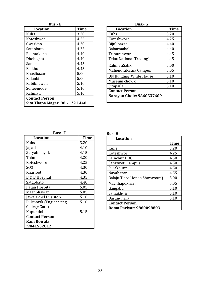| I<br>×<br>٩ |  |
|-------------|--|
|-------------|--|

| <b>Location</b>                       | Time |
|---------------------------------------|------|
| Kuhs                                  | 3.20 |
| Koteshwor                             | 4.25 |
| Gwarkho                               | 4.30 |
| Satdobato                             | 4.35 |
| Ekantakuna                            | 4.40 |
| Dhobighat                             | 4.40 |
| Sanepa                                | 4.45 |
| <b>Balkhu</b>                         | 4.45 |
| Khasibazar                            | 5.00 |
| Kalanki                               | 5.00 |
| Rabibhawan                            | 5.10 |
| Solteemode                            | 5.10 |
| Kalimati                              | 5.10 |
| <b>Contact Person</b>                 |      |
| <b>Sita Thapa Magar: 9861 221 448</b> |      |

| 311 S |  |
|-------|--|
|-------|--|

| Time                      |  |  |
|---------------------------|--|--|
| 3.20                      |  |  |
| 4.25                      |  |  |
| 4.40                      |  |  |
| 4.40                      |  |  |
| 4.45                      |  |  |
| 4.45                      |  |  |
| 5.00                      |  |  |
| 5.05                      |  |  |
| 5.10                      |  |  |
| 5.10                      |  |  |
| 5.10                      |  |  |
| <b>Contact Person</b>     |  |  |
| Narayan Ghole: 9860537609 |  |  |
|                           |  |  |

**Bus:- F**

| <b>Location</b>              | <b>Time</b> |
|------------------------------|-------------|
| Kuhs                         | 3.20        |
| Jagati                       | 4.10        |
| Suryabinayak                 | 4.15        |
| Thimi                        | 4.20        |
| Koteshwore                   | 4.25        |
| SOS                          | 4.30        |
| Kharibot                     | 4.30        |
| <b>B &amp; B Hospital</b>    | 4.35        |
| Satdobato                    | 4.40        |
| Patan Hospital               | 5.05        |
| Maanbhawan                   | 5.05        |
| Jawalakhel Bus stop          | 5.10        |
| <b>Pulchowk (Engineering</b> | 5.10        |
| College Gate)                |             |
| Kupundol                     | 5.15        |
| <b>Contact Person</b>        |             |
| Ram Koirala                  |             |
| :9841532812                  |             |

| ،π<br>- 1 |  |
|-----------|--|
| ۰.        |  |

| Location                    |             |
|-----------------------------|-------------|
|                             | <b>Time</b> |
| <b>Kuhs</b>                 | 3.20        |
| Koteshwor                   | 4.25        |
| Lainchur DDC                | 4.50        |
| Saraswoti Campus            | 4.50        |
| Surakhutte                  | 4.50        |
| Nayabazar                   | 4.55        |
| Balaju(Hero Honda Showroom) | 5.00        |
| Machhapokhari               | 5.05        |
| Gangabu                     | 5.10        |
| Samakhusi                   | 5.10        |
| <b>Basundhara</b>           | 5.10        |
| <b>Contact Person</b>       |             |
| Roma Pariyar: 9860098803    |             |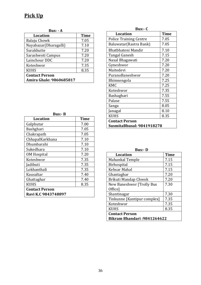# **Pick Up**

**Bus: - A**

| <b>Location</b>         | <b>Time</b> |
|-------------------------|-------------|
| Balaju Chowk            | 7.05        |
| Nayabazar(Dharagalli)   | 7.10        |
| Surakhutte              | 7.20        |
| Sarashwoti Campus       | 7.20        |
| Lainchour DDC           | 7.20        |
| Koteshwor               | 7.35        |
| <b>KUHS</b>             | 8.35        |
| <b>Contact Person</b>   |             |
| Amira Ghale: 9860685817 |             |

| <b>Bus:-C</b>                 |             |  |  |
|-------------------------------|-------------|--|--|
| <b>Location</b>               | <b>Time</b> |  |  |
| <b>Police Training Centre</b> | 7.05        |  |  |
| Baluwatar (Rastra Bank)       | 7.05        |  |  |
| Bhatbhateni Mandir            | 7.10        |  |  |
| Tangal Ganesh                 | 7.15        |  |  |
| Naxal Bhagawati               | 7.20        |  |  |
| Gyneshwor                     | 7.20        |  |  |
| Maitedevi                     | 7.20        |  |  |
| PuranoBaneshwor               | 7.20        |  |  |
| Bhimsengola                   | 7.25        |  |  |
| <b>KMC</b>                    | 7.25        |  |  |
| Koteshwor                     | 7.35        |  |  |
| Bashaghari                    | 7.55        |  |  |
| Palase                        | 7.55        |  |  |
| Sanga                         | 8.05        |  |  |
| Janagal                       | 8.10        |  |  |
| <b>KUHS</b>                   | 8.35        |  |  |
| <b>Contact Person</b>         |             |  |  |
| SusmitaBhusal: 9841918278     |             |  |  |

| Bus:- B               |             |  |  |
|-----------------------|-------------|--|--|
| <b>Location</b>       | <b>Time</b> |  |  |
| Galphutar             | 7.00        |  |  |
| Bashghari             | 7.05        |  |  |
| Chakrapath            | 7.05        |  |  |
| ChhapalKarkhana       | 7.10        |  |  |
| Dhumbarahi            | 7.10        |  |  |
| Sukedhara             | 7.10        |  |  |
| <b>OM Hospital</b>    | 7.20        |  |  |
| Koteshwor             | 7.35        |  |  |
| Jadibuti              | 7.35        |  |  |
| Lokhanthali           | 7.35        |  |  |
| Kausaltar             | 7.40        |  |  |
| Ghattaghar            | 7.40        |  |  |
| <b>KUHS</b>           | 8.35        |  |  |
| <b>Contact Person</b> |             |  |  |
| Ravi K.C 9843748897   |             |  |  |

| <b>Bus:-</b> D                     |             |  |  |
|------------------------------------|-------------|--|--|
| <b>Location</b>                    | <b>Time</b> |  |  |
| Mahankal Temple                    | 7.15        |  |  |
| Birhospital                        | 7.15        |  |  |
| Kehsar Mahal                       | 7.15        |  |  |
| Ghantaghar                         | 7.20        |  |  |
| Brikuti Mandap Chwok               | 7.20        |  |  |
| New Baneshwor [Trolly Bus          | 7.30        |  |  |
| Office]                            |             |  |  |
| Shantinagar                        | 7.30        |  |  |
| Tinkunne [Kantipur complex]        | 7.35        |  |  |
| Koteshwor                          | 7.35        |  |  |
| <b>KUHS</b>                        | 8.35        |  |  |
| <b>Contact Person</b>              |             |  |  |
| <b>Bikram Bhandari: 9841264622</b> |             |  |  |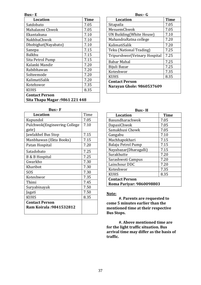#### **Bus:- E**

| <b>Location</b>                       | <b>Time</b> |  |
|---------------------------------------|-------------|--|
| Satdobato                             | 7.05        |  |
| Mahalaxmi Chwok                       | 7.05        |  |
| Ekantakuna                            | 7.10        |  |
| NakhhuChwok                           | 7.10        |  |
| Dhobighat(Nayabato)                   | 7.10        |  |
| Sanepa                                | 7.15        |  |
| <b>Balkhu</b>                         | 7.15        |  |
| Sita Petrol Pump                      | 7.15        |  |
| Kalanki Mandir                        | 7.20        |  |
| Rabibhawan                            | 7.20        |  |
| Solteemode                            | 7.20        |  |
| KalimatiSalik                         | 7.20        |  |
| Kotehswor                             | 7.35        |  |
| <b>KUHS</b>                           | 8.35        |  |
| <b>Contact Person</b>                 |             |  |
| <b>Sita Thapa Magar: 9861 221 448</b> |             |  |

| <b>Bus:- F</b>                |      |  |
|-------------------------------|------|--|
| <b>Location</b>               | Time |  |
| Kupundol                      | 7.05 |  |
| Pulchwok (Engineering College | 7.10 |  |
| gate)                         |      |  |
| Jawlakhel Bus Stop            | 7.15 |  |
| Manbhawan (Ekta Books)        | 7.15 |  |
| Patan Hospital                | 7.20 |  |
| Satadobato                    | 7.25 |  |
| B & B Hospital                | 7.25 |  |
| Gwarkho                       | 7.30 |  |
| Kharibot                      | 7.30 |  |
| SOS                           | 7.30 |  |
| Koteshwor                     | 7.35 |  |
| Thimi                         | 7.45 |  |
| Suryabinayak                  | 7.50 |  |
| Jagati                        | 7.50 |  |
| <b>KUHS</b>                   | 8.35 |  |
| <b>Contact Person</b>         |      |  |
| Ram Koirala :9841532812       |      |  |

#### **Bus:- G**

| <b>Location</b>                  | <b>Time</b> |  |
|----------------------------------|-------------|--|
| Sitapaila                        | 7.05        |  |
| MesuemChwok                      | 7.05        |  |
| <b>UN Building (White House)</b> | 7.10        |  |
| MahandraRatna college            | 7.20        |  |
| KalimatiSalik                    | 7.20        |  |
| Teku (National Trading)          | 7.25        |  |
| Tripurshwor (Vetnary Hospital    | 7.25        |  |
| Babar Mahal                      | 7.25        |  |
| Bijuli Bazar                     | 7.25        |  |
| Koteshwor                        | 7.35        |  |
| <b>KUHS</b>                      | 8.35        |  |
| <b>Contact Person</b>            |             |  |
| Narayan Ghole: 9860537609        |             |  |

| Bus:- H                  |             |  |
|--------------------------|-------------|--|
| <b>Location</b>          | <b>Time</b> |  |
| Basundharachwok          | 7.05        |  |
| DapasiChwok              | 7.05        |  |
| Samakhusi Chowk          | 7.05        |  |
| Gangabu                  | 7.10        |  |
| Machhapokhari            | 7.15        |  |
| Balaju Petrol Pump       | 7.15        |  |
| Nayabazar (Dharagalli)   | 7.15        |  |
| Surakhutte               | 7.20        |  |
| Sarashwoti Campus        | 7.20        |  |
| Lainchour DDC            | 7.20        |  |
| Koteshwor                | 7.35        |  |
| <b>KUHS</b>              | 8.35        |  |
| <b>Contact Person</b>    |             |  |
| Roma Pariyar: 9860098803 |             |  |
|                          |             |  |

#### **Note:**

**#. Parents are requested to come 5 minutes earlier than the mentioned time at their respective Bus Stops.**

**#. Above mentioned time are for the light traffic situation. Bus arrival time may differ as the basis of traffic.**